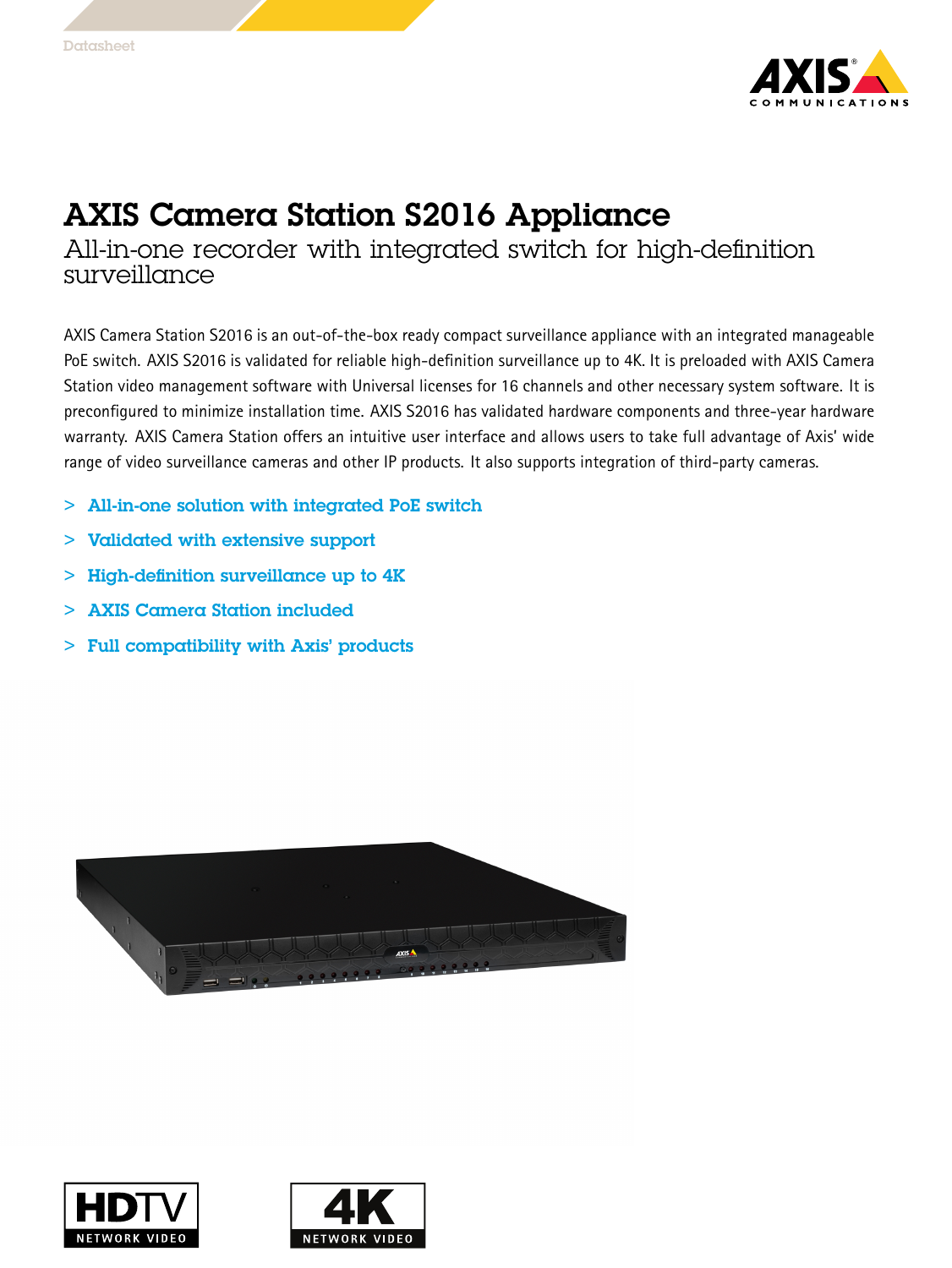

## AXIS Camera Station S2016 Appliance

All-in-one recorder with integrated switch for high-definition surveillance

AXIS Camera Station S2016 is an out-of-the-box ready compact surveillance appliance with an integrated manageable PoE switch. AXIS S2016 is validated for reliable high-definition surveillance up to 4K. It is preloaded with AXIS Camera Station video management software with Universal licenses for 16 channels and other necessary system software. It is preconfigured to minimize installation time. AXIS S2016 has validated hardware components and three-year hardware warranty. AXIS Camera Station offers an intuitive user interface and allows users to take full advantage of Axis' wide range of video surveillance cameras and other IP products. It also supports integration of third-party cameras.

- > All-in-one solution with integrated PoE switch
- > Validated with extensive support
- $>$  High-definition surveillance up to  $4K$
- > AXIS Camera Station included
- > Full compatibility with Axis' products